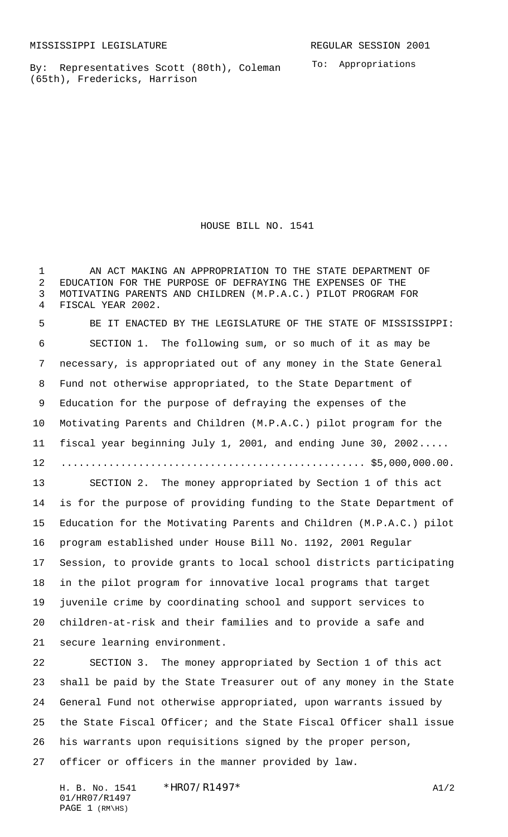By: Representatives Scott (80th), Coleman (65th), Fredericks, Harrison

To: Appropriations

HOUSE BILL NO. 1541

 AN ACT MAKING AN APPROPRIATION TO THE STATE DEPARTMENT OF EDUCATION FOR THE PURPOSE OF DEFRAYING THE EXPENSES OF THE MOTIVATING PARENTS AND CHILDREN (M.P.A.C.) PILOT PROGRAM FOR FISCAL YEAR 2002.

 BE IT ENACTED BY THE LEGISLATURE OF THE STATE OF MISSISSIPPI: SECTION 1. The following sum, or so much of it as may be necessary, is appropriated out of any money in the State General Fund not otherwise appropriated, to the State Department of Education for the purpose of defraying the expenses of the Motivating Parents and Children (M.P.A.C.) pilot program for the fiscal year beginning July 1, 2001, and ending June 30, 2002..... ................................................... \$5,000,000.00. SECTION 2. The money appropriated by Section 1 of this act is for the purpose of providing funding to the State Department of Education for the Motivating Parents and Children (M.P.A.C.) pilot program established under House Bill No. 1192, 2001 Regular Session, to provide grants to local school districts participating in the pilot program for innovative local programs that target juvenile crime by coordinating school and support services to children-at-risk and their families and to provide a safe and secure learning environment.

 SECTION 3. The money appropriated by Section 1 of this act shall be paid by the State Treasurer out of any money in the State General Fund not otherwise appropriated, upon warrants issued by the State Fiscal Officer; and the State Fiscal Officer shall issue his warrants upon requisitions signed by the proper person, officer or officers in the manner provided by law.

H. B. No. 1541 \*HRO7/R1497\* A1/2 01/HR07/R1497 PAGE (RM\HS)